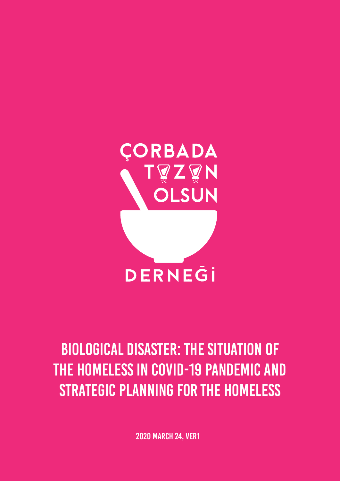

# Biological disaster: the situation of the homeless in COVID-19 pandemic and strategic planning for the homeless

2020 MARCH 24, VER1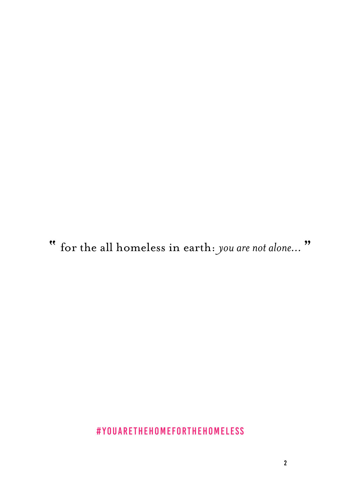**"** for the all homeless in earth: *you are not alone...* **"**

#### #YouAreTheHomeforTheHomeless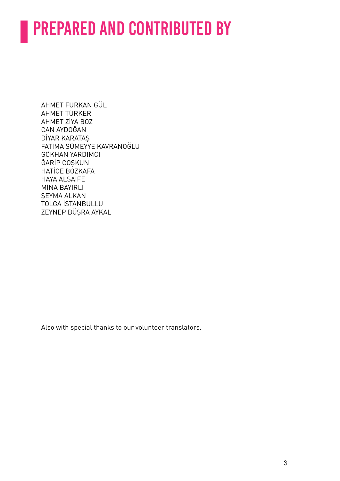# PREPARED AND CONTRIBUTED BY

AHMET FURKAN GÜL AHMET TÜRKER AHMET ZİYA BOZ CAN AYDOĞAN DİYAR KARATAŞ FATIMA SÜMEYYE KAVRANOĞLU GÖKHAN YARDIMCI ĞARİP COŞKUN HATİCE BOZKAFA HAYA ALSAİFE MİNA BAYIRLI ŞEYMA ALKAN TOLGA İSTANBULLU ZEYNEP BÜŞRA AYKAL

Also with special thanks to our volunteer translators.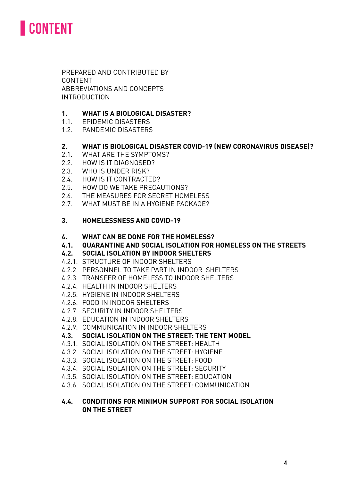

 PREPARED AND CONTRIBUTED BY CONTENT ABBREVIATIONS AND CONCEPTS INTRODUCTION

#### **1. WHAT IS A BIOLOGICAL DISASTER?**

- 1.1. EPIDEMIC DISASTERS
- 1.2. PANDEMIC DISASTERS

#### **2. WHAT IS BIOLOGICAL DISASTER COVID-19 (NEW CORONAVIRUS DISEASE)?**

- 2.1. WHAT ARE THE SYMPTOMS?
- 2.2. HOW IS IT DIAGNOSED?
- 2.3. WHO IS UNDER RISK?
- 2.4. HOW IS IT CONTRACTED?
- 2.5. HOW DO WE TAKE PRECAUTIONS?
- 2.6. THE MEASURES FOR SECRET HOMELESS
- 2.7. WHAT MUST BE IN A HYGIENE PACKAGE?

#### **3. HOMELESSNESS AND COVID-19**

#### **4. WHAT CAN BE DONE FOR THE HOMELESS?**

**4.1. QUARANTINE AND SOCIAL ISOLATION FOR HOMELESS ON THE STREETS**

#### **4.2. SOCIAL ISOLATION BY INDOOR SHELTERS**

- 4.2.1. STRUCTURE OF INDOOR SHELTERS
- 4.2.2. PERSONNEL TO TAKE PART IN INDOOR SHELTERS
- 4.2.3. TRANSFER OF HOMELESS TO INDOOR SHELTERS
- 4.2.4. HEALTH IN INDOOR SHELTERS
- 4.2.5. HYGIENE IN INDOOR SHELTERS
- 4.2.6. FOOD IN INDOOR SHELTERS
- 4.2.7. SECURITY IN INDOOR SHELTERS
- 4.2.8. EDUCATION IN INDOOR SHELTERS
- 4.2.9. COMMUNICATION IN INDOOR SHELTERS
- **4.3. SOCIAL ISOLATION ON THE STREET: THE TENT MODEL**
- 4.3.1. SOCIAL ISOLATION ON THE STREET: HEALTH
- 4.3.2. SOCIAL ISOLATION ON THE STREET: HYGIENE
- 4.3.3. SOCIAL ISOLATION ON THE STREET: FOOD
- 4.3.4. SOCIAL ISOLATION ON THE STREET: SECURITY
- 4.3.5. SOCIAL ISOLATION ON THE STREET: EDUCATION
- 4.3.6. SOCIAL ISOLATION ON THE STREET: COMMUNICATION

#### **4.4. CONDITIONS FOR MINIMUM SUPPORT FOR SOCIAL ISOLATION ON THE STREET**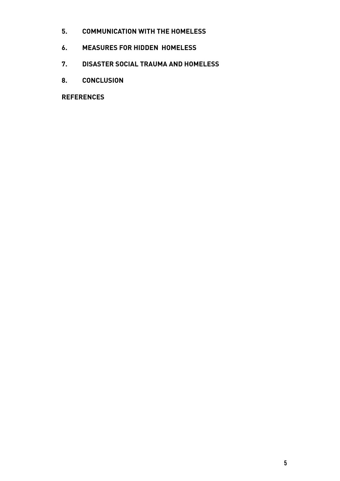- **5. COMMUNICATION WITH THE HOMELESS**
- **6. MEASURES FOR HIDDEN HOMELESS**
- **7. DISASTER SOCIAL TRAUMA AND HOMELESS**
- **8. CONCLUSION**

 **REFERENCES**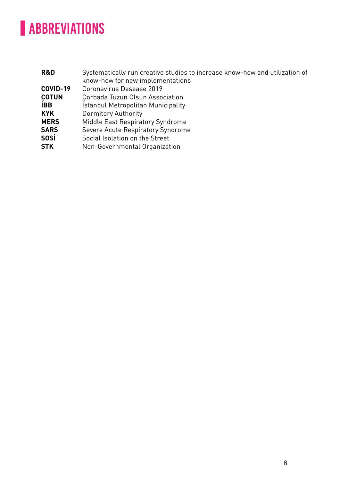## **ABBREVIATIONS**

| R&D          | Systematically run creative studies to increase know-how and utilization of |
|--------------|-----------------------------------------------------------------------------|
|              | know-how for new implementations                                            |
| COVID-19     | Coronavirus Desease 2019                                                    |
| <b>COTUN</b> | Corbada Tuzun Olsun Association                                             |
| <b>IBB</b>   | Istanbul Metropolitan Municipality                                          |
| <b>KYK</b>   | <b>Dormitory Authority</b>                                                  |
| <b>MERS</b>  | Middle East Respiratory Syndrome                                            |
| <b>SARS</b>  | Severe Acute Respiratory Syndrome                                           |
| <b>SOSi</b>  | Social Isolation on the Street                                              |
| <b>STK</b>   | Non-Governmental Organization                                               |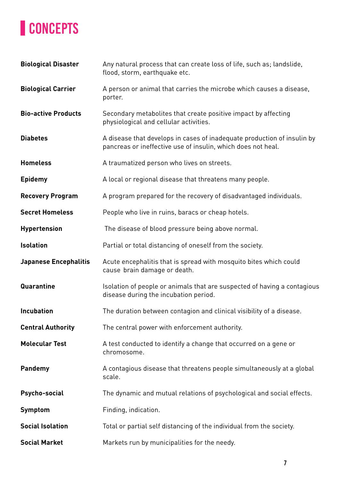## **CONCEPTS**

| <b>Biological Disaster</b>   | Any natural process that can create loss of life, such as; landslide,<br>flood, storm, earthquake etc.                                  |  |
|------------------------------|-----------------------------------------------------------------------------------------------------------------------------------------|--|
| <b>Biological Carrier</b>    | A person or animal that carries the microbe which causes a disease,<br>porter.                                                          |  |
| <b>Bio-active Products</b>   | Secondary metabolites that create positive impact by affecting<br>physiological and cellular activities.                                |  |
| <b>Diabetes</b>              | A disease that develops in cases of inadequate production of insulin by<br>pancreas or ineffective use of insulin, which does not heal. |  |
| <b>Homeless</b>              | A traumatized person who lives on streets.                                                                                              |  |
| <b>Epidemy</b>               | A local or regional disease that threatens many people.                                                                                 |  |
| <b>Recovery Program</b>      | A program prepared for the recovery of disadvantaged individuals.                                                                       |  |
| <b>Secret Homeless</b>       | People who live in ruins, baracs or cheap hotels.                                                                                       |  |
| <b>Hypertension</b>          | The disease of blood pressure being above normal.                                                                                       |  |
| <b>Isolation</b>             | Partial or total distancing of oneself from the society.                                                                                |  |
| <b>Japanese Encephalitis</b> | Acute encephalitis that is spread with mosquito bites which could<br>cause brain damage or death.                                       |  |
|                              |                                                                                                                                         |  |
| Quarantine                   | Isolation of people or animals that are suspected of having a contagious<br>disease during the incubation period.                       |  |
| <b>Incubation</b>            | The duration between contagion and clinical visibility of a disease.                                                                    |  |
| <b>Central Authority</b>     | The central power with enforcement authority.                                                                                           |  |
| <b>Molecular Test</b>        | A test conducted to identify a change that occurred on a gene or<br>chromosome.                                                         |  |
| <b>Pandemy</b>               | A contagious disease that threatens people simultaneously at a global<br>scale.                                                         |  |
| Psycho-social                | The dynamic and mutual relations of psychological and social effects.                                                                   |  |
| <b>Symptom</b>               | Finding, indication.                                                                                                                    |  |
| <b>Social Isolation</b>      | Total or partial self distancing of the individual from the society.                                                                    |  |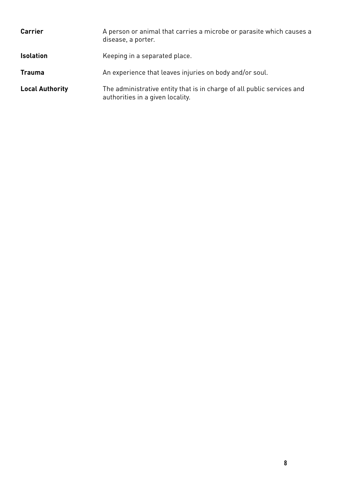| <b>Carrier</b>         | A person or animal that carries a microbe or parasite which causes a<br>disease, a porter.                 |  |
|------------------------|------------------------------------------------------------------------------------------------------------|--|
| <b>Isolation</b>       | Keeping in a separated place.                                                                              |  |
| <b>Trauma</b>          | An experience that leaves injuries on body and/or soul.                                                    |  |
| <b>Local Authority</b> | The administrative entity that is in charge of all public services and<br>authorities in a given locality. |  |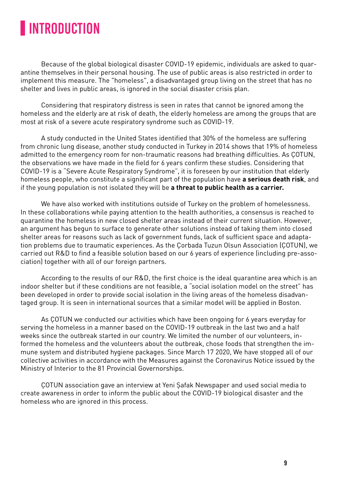### **INTRODUCTION**

Because of the global biological disaster COVID-19 epidemic, individuals are asked to quarantine themselves in their personal housing. The use of public areas is also restricted in order to implement this measure. The "homeless", a disadvantaged group living on the street that has no shelter and lives in public areas, is ignored in the social disaster crisis plan.

Considering that respiratory distress is seen in rates that cannot be ignored among the homeless and the elderly are at risk of death, the elderly homeless are among the groups that are most at risk of a severe acute respiratory syndrome such as COVID-19.

A study conducted in the United States identified that 30% of the homeless are suffering from chronic lung disease, another study conducted in Turkey in 2014 shows that 19% of homeless admitted to the emergency room for non-traumatic reasons had breathing difficulties. As ÇOTUN, the observations we have made in the field for 6 years confirm these studies. Considering that COVID-19 is a "Severe Acute Respiratory Syndrome", it is foreseen by our institution that elderly homeless people, who constitute a significant part of the population have **a serious death risk**, and if the young population is not isolated they will be **a threat to public health as a carrier.**

We have also worked with institutions outside of Turkey on the problem of homelessness. In these collaborations while paying attention to the health authorities, a consensus is reached to quarantine the homeless in new closed shelter areas instead of their current situation. However, an argument has begun to surface to generate other solutions instead of taking them into closed shelter areas for reasons such as lack of government funds, lack of sufficient space and adaptation problems due to traumatic experiences. As the Çorbada Tuzun Olsun Association (ÇOTUN), we carried out R&D to find a feasible solution based on our 6 years of experience (including pre-association) together with all of our foreign partners.

According to the results of our R&D, the first choice is the ideal quarantine area which is an indoor shelter but if these conditions are not feasible, a "social isolation model on the street" has been developed in order to provide social isolation in the living areas of the homeless disadvantaged group. It is seen in international sources that a similar model will be applied in Boston.

As ÇOTUN we conducted our activities which have been ongoing for 6 years everyday for serving the homeless in a manner based on the COVID-19 outbreak in the last two and a half weeks since the outbreak started in our country. We limited the number of our volunteers, informed the homeless and the volunteers about the outbreak, chose foods that strengthen the immune system and distributed hygiene packages. Since March 17 2020, We have stopped all of our collective activities in accordance with the Measures against the Coronavirus Notice issued by the Ministry of Interior to the 81 Provincial Governorships.

ÇOTUN association gave an interview at Yeni Şafak Newspaper and used social media to create awareness in order to inform the public about the COVID-19 biological disaster and the homeless who are ignored in this process.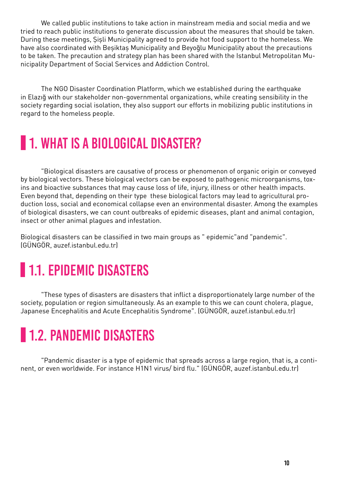We called public institutions to take action in mainstream media and social media and we tried to reach public institutions to generate discussion about the measures that should be taken. During these meetings, Şişli Municipality agreed to provide hot food support to the homeless. We have also coordinated with Beşiktaş Municipality and Beyoğlu Municipality about the precautions to be taken. The precaution and strategy plan has been shared with the Istanbul Metropolitan Municipality Department of Social Services and Addiction Control.

The NGO Disaster Coordination Platform, which we established during the earthquake in Elazığ with our stakeholder non-governmental organizations, while creating sensibility in the society regarding social isolation, they also support our efforts in mobilizing public institutions in regard to the homeless people.

### **1. WHAT IS A BIOLOGICAL DISASTER?**

"Biological disasters are causative of process or phenomenon of organic origin or conveyed by biological vectors. These biological vectors can be exposed to pathogenic microorganisms, toxins and bioactive substances that may cause loss of life, injury, illness or other health impacts. Even beyond that, depending on their type these biological factors may lead to agricultural production loss, social and economical collapse even an environmental disaster. Among the examples of biological disasters, we can count outbreaks of epidemic diseases, plant and animal contagion, insect or other animal plagues and infestation.

Biological disasters can be classified in two main groups as "epidemic" and "pandemic". (GÜNGÖR, auzef.istanbul.edu.tr)

## **1.1. EPIDEMIC DISASTERS**

"These types of disasters are disasters that inflict a disproportionately large number of the society, population or region simultaneously. As an example to this we can count cholera, plague, Japanese Encephalitis and Acute Encephalitis Syndrome". (GÜNGÖR, auzef.istanbul.edu.tr)

## **1.2. PANDEMIC DISASTERS**

"Pandemic disaster is a type of epidemic that spreads across a large region, that is, a continent, or even worldwide. For instance H1N1 virus/ bird flu." (GÜNGÖR, auzef.istanbul.edu.tr)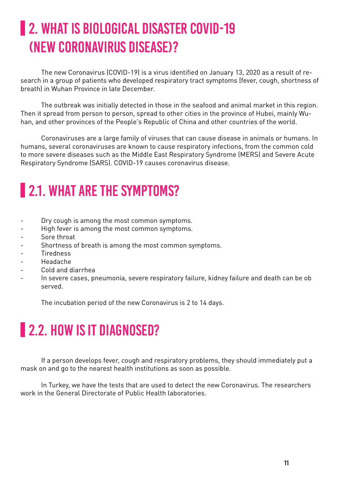## **2. WHAT IS BIOLOGICAL DISASTER COVID-19** (New Coronavirus Disease)?

The new Coronavirus (COVID-19) is a virus identified on January 13, 2020 as a result of research in a group of patients who developed respiratory tract symptoms (fever, cough, shortness of breath) in Wuhan Province in late December.

The outbreak was initially detected in those in the seafood and animal market in this region. Then it spread from person to person, spread to other cities in the province of Hubei, mainly Wuhan, and other provinces of the People's Republic of China and other countries of the world.

Coronaviruses are a large family of viruses that can cause disease in animals or humans. In humans, several coronaviruses are known to cause respiratory infections, from the common cold to more severe diseases such as the Middle East Respiratory Syndrome (MERS) and Severe Acute Respiratory Syndrome (SARS). COVID-19 causes coronavirus disease.

## **2.1. WHAT ARE THE SYMPTOMS?**

- Dry cough is among the most common symptoms.
- High fever is among the most common symptoms.
- Sore throat
- Shortness of breath is among the most common symptoms.
- Tiredness
- Headache
- Cold and diarrhea
- In severe cases, pneumonia, severe respiratory failure, kidney failure and death can be ob served.

The incubation period of the new Coronavirus is 2 to 14 days.

### **2.2. HOW IS IT DIAGNOSED?**

If a person develops fever, cough and respiratory problems, they should immediately put a mask on and go to the nearest health institutions as soon as possible.

In Turkey, we have the tests that are used to detect the new Coronavirus. The researchers work in the General Directorate of Public Health laboratories.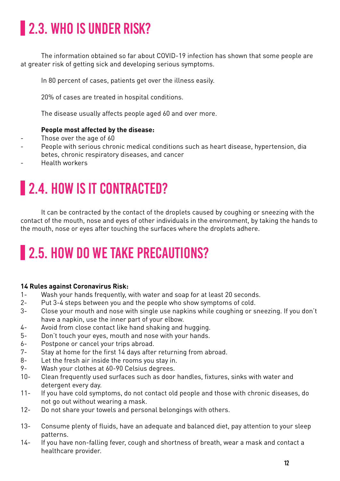## **2.3. WHO IS UNDER RISK?**

The information obtained so far about COVID-19 infection has shown that some people are at greater risk of getting sick and developing serious symptoms.

In 80 percent of cases, patients get over the illness easily.

20% of cases are treated in hospital conditions.

The disease usually affects people aged 60 and over more.

#### **People most affected by the disease:**

- Those over the age of 60
- People with serious chronic medical conditions such as heart disease, hypertension, dia betes, chronic respiratory diseases, and cancer
- Health workers

## **2.4. HOW IS IT CONTRACTED?**

It can be contracted by the contact of the droplets caused by coughing or sneezing with the contact of the mouth, nose and eyes of other individuals in the environment, by taking the hands to the mouth, nose or eyes after touching the surfaces where the droplets adhere.

## **2.5. HOW DO WE TAKE PRECAUTIONS?**

#### **14 Rules against Coronavirus Risk:**

- 1- Wash your hands frequently, with water and soap for at least 20 seconds.
- 2- Put 3-4 steps between you and the people who show symptoms of cold.
- 3- Close your mouth and nose with single use napkins while coughing or sneezing. If you don't have a napkin, use the inner part of your elbow.
- 4- Avoid from close contact like hand shaking and hugging.
- 5- Don't touch your eyes, mouth and nose with your hands.
- 6- Postpone or cancel your trips abroad.
- 7- Stay at home for the first 14 days after returning from abroad.
- 8- Let the fresh air inside the rooms you stay in.
- 9- Wash your clothes at 60-90 Celsius degrees.
- 10- Clean frequently used surfaces such as door handles, fixtures, sinks with water and detergent every day.
- 11- If you have cold symptoms, do not contact old people and those with chronic diseases, do not go out without wearing a mask.
- 12- Do not share your towels and personal belongings with others.
- 13- Consume plenty of fluids, have an adequate and balanced diet, pay attention to your sleep patterns.
- 14- If you have non-falling fever, cough and shortness of breath, wear a mask and contact a healthcare provider.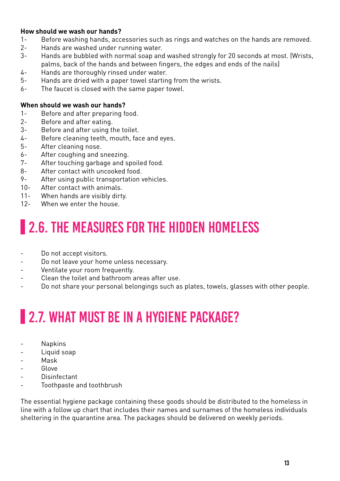#### **How should we wash our hands?**

- 1- Before washing hands, accessories such as rings and watches on the hands are removed.
- 2- Hands are washed under running water.
- 3- Hands are bubbled with normal soap and washed strongly for 20 seconds at most. (Wrists, palms, back of the hands and between fingers, the edges and ends of the nails)
- 4- Hands are thoroughly rinsed under water.
- 5- Hands are dried with a paper towel starting from the wrists.
- 6- The faucet is closed with the same paper towel.

#### **When should we wash our hands?**

- 1- Before and after preparing food.
- 2- Before and after eating.
- 3- Before and after using the toilet.
- 4- Before cleaning teeth, mouth, face and eyes.
- 5- After cleaning nose.
- 6- After coughing and sneezing.
- 7- After touching garbage and spoiled food.
- 8- After contact with uncooked food.
- 9- After using public transportation vehicles.
- 10- After contact with animals.
- 11- When hands are visibly dirty.
- 12- When we enter the house.

### **2.6. THE MEASURES FOR THE HIDDEN HOMELESS**

- Do not accept visitors.
- Do not leave your home unless necessary.
- Ventilate your room frequently.
- Clean the toilet and bathroom areas after use.
- Do not share your personal belongings such as plates, towels, glasses with other people.

## **2.7. WHAT MUST BE IN A HYGIENE PACKAGE?**

- **Napkins**
- Liquid soap
- Mask
- Glove
- **Disinfectant**
- Toothpaste and toothbrush

The essential hygiene package containing these goods should be distributed to the homeless in line with a follow up chart that includes their names and surnames of the homeless individuals sheltering in the quarantine area. The packages should be delivered on weekly periods.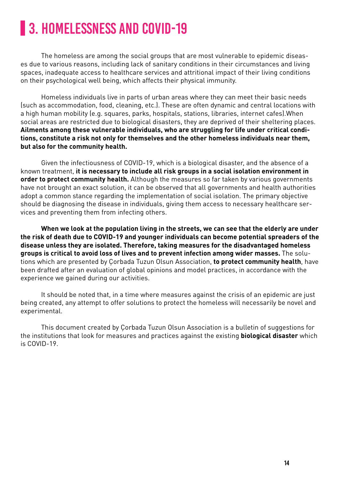### **3. HOMELESSNESS AND COVID-19**

The homeless are among the social groups that are most vulnerable to epidemic diseases due to various reasons, including lack of sanitary conditions in their circumstances and living spaces, inadequate access to healthcare services and attritional impact of their living conditions on their psychological well being, which affects their physical immunity.

Homeless individuals live in parts of urban areas where they can meet their basic needs (such as accommodation, food, cleaning, etc.). These are often dynamic and central locations with a high human mobility (e.g. squares, parks, hospitals, stations, libraries, internet cafes).When social areas are restricted due to biological disasters, they are deprived of their sheltering places. **Ailments among these vulnerable individuals, who are struggling for life under critical conditions, constitute a risk not only for themselves and the other homeless individuals near them, but also for the community health.**

Given the infectiousness of COVID-19, which is a biological disaster, and the absence of a known treatment, **it is necessary to include all risk groups in a social isolation environment in order to protect community health.** Although the measures so far taken by various governments have not brought an exact solution, it can be observed that all governments and health authorities adopt a common stance regarding the implementation of social isolation. The primary objective should be diagnosing the disease in individuals, giving them access to necessary healthcare services and preventing them from infecting others.

**When we look at the population living in the streets, we can see that the elderly are under the risk of death due to COVID-19 and younger individuals can become potential spreaders of the disease unless they are isolated. Therefore, taking measures for the disadvantaged homeless groups is critical to avoid loss of lives and to prevent infection among wider masses.** The solutions which are presented by Çorbada Tuzun Olsun Association, **to protect community health**, have been drafted after an evaluation of global opinions and model practices, in accordance with the experience we gained during our activities.

It should be noted that, in a time where measures against the crisis of an epidemic are just being created, any attempt to offer solutions to protect the homeless will necessarily be novel and experimental.

This document created by Çorbada Tuzun Olsun Association is a bulletin of suggestions for the institutions that look for measures and practices against the existing **biological disaster** which is COVID-19.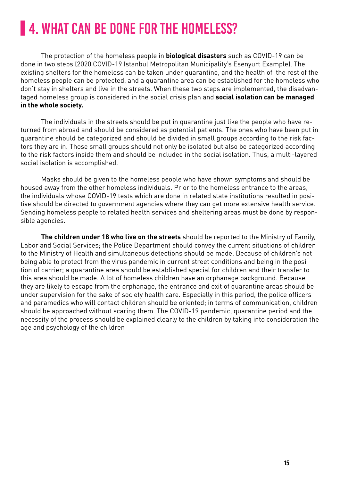## **4. WHAT CAN BE DONE FOR THE HOMELESS?**

The protection of the homeless people in **biological disasters** such as COVID-19 can be done in two steps (2020 COVID-19 Istanbul Metropolitan Municipality's Esenyurt Example). The existing shelters for the homeless can be taken under quarantine, and the health of the rest of the homeless people can be protected, and a quarantine area can be established for the homeless who don't stay in shelters and live in the streets. When these two steps are implemented, the disadvantaged homeless group is considered in the social crisis plan and **social isolation can be managed in the whole society.**

The individuals in the streets should be put in quarantine just like the people who have returned from abroad and should be considered as potential patients. The ones who have been put in quarantine should be categorized and should be divided in small groups according to the risk factors they are in. Those small groups should not only be isolated but also be categorized according to the risk factors inside them and should be included in the social isolation. Thus, a multi-layered social isolation is accomplished.

Masks should be given to the homeless people who have shown symptoms and should be housed away from the other homeless individuals. Prior to the homeless entrance to the areas, the individuals whose COVID-19 tests which are done in related state institutions resulted in positive should be directed to government agencies where they can get more extensive health service. Sending homeless people to related health services and sheltering areas must be done by responsible agencies.

**The children under 18 who live on the streets** should be reported to the Ministry of Family, Labor and Social Services; the Police Department should convey the current situations of children to the Ministry of Health and simultaneous detections should be made. Because of children's not being able to protect from the virus pandemic in current street conditions and being in the position of carrier; a quarantine area should be established special for children and their transfer to this area should be made. A lot of homeless children have an orphanage background. Because they are likely to escape from the orphanage, the entrance and exit of quarantine areas should be under supervision for the sake of society health care. Especially in this period, the police officers and paramedics who will contact children should be oriented; in terms of communication, children should be approached without scaring them. The COVID-19 pandemic, quarantine period and the necessity of the process should be explained clearly to the children by taking into consideration the age and psychology of the children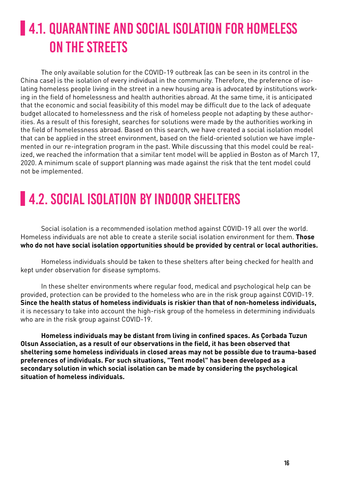## **4.1. QUARANTINE AND SOCIAL ISOLATION FOR HOMELESS** ON THE STREETS

The only available solution for the COVID-19 outbreak (as can be seen in its control in the China case) is the isolation of every individual in the community. Therefore, the preference of isolating homeless people living in the street in a new housing area is advocated by institutions working in the field of homelessness and health authorities abroad. At the same time, it is anticipated that the economic and social feasibility of this model may be difficult due to the lack of adequate budget allocated to homelessness and the risk of homeless people not adapting by these authorities. As a result of this foresight, searches for solutions were made by the authorities working in the field of homelessness abroad. Based on this search, we have created a social isolation model that can be applied in the street environment, based on the field-oriented solution we have implemented in our re-integration program in the past. While discussing that this model could be realized, we reached the information that a similar tent model will be applied in Boston as of March 17, 2020. A minimum scale of support planning was made against the risk that the tent model could not be implemented.

### **4.2. SOCIAL ISOLATION BY INDOOR SHELTERS**

Social isolation is a recommended isolation method against COVID-19 all over the world. Homeless individuals are not able to create a sterile social isolation environment for them. **Those who do not have social isolation opportunities should be provided by central or local authorities.**

Homeless individuals should be taken to these shelters after being checked for health and kept under observation for disease symptoms.

In these shelter environments where regular food, medical and psychological help can be provided, protection can be provided to the homeless who are in the risk group against COVID-19. **Since the health status of homeless individuals is riskier than that of non-homeless individuals,** it is necessary to take into account the high-risk group of the homeless in determining individuals who are in the risk group against COVID-19.

**Homeless individuals may be distant from living in confined spaces. As Çorbada Tuzun Olsun Association, as a result of our observations in the field, it has been observed that sheltering some homeless individuals in closed areas may not be possible due to trauma-based preferences of individuals. For such situations, "Tent model" has been developed as a secondary solution in which social isolation can be made by considering the psychological situation of homeless individuals.**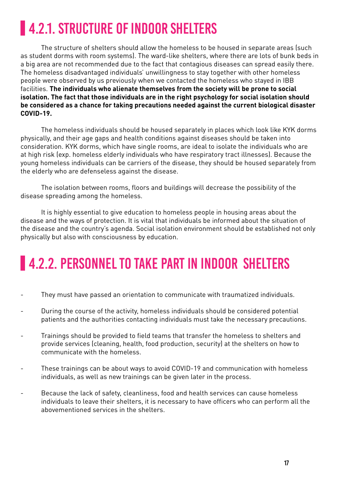## **4.2.1. STRUCTURE OF INDOOR SHELTERS**

The structure of shelters should allow the homeless to be housed in separate areas (such as student dorms with room systems). The ward-like shelters, where there are lots of bunk beds in a big area are not recommended due to the fact that contagious diseases can spread easily there. The homeless disadvantaged individuals' unwillingness to stay together with other homeless people were observed by us previously when we contacted the homeless who stayed in IBB facilities. **The individuals who alienate themselves from the society will be prone to social isolation. The fact that those individuals are in the right psychology for social isolation should be considered as a chance for taking precautions needed against the current biological disaster COVID-19.**

The homeless individuals should be housed separately in places which look like KYK dorms physically, and their age gaps and health conditions against diseases should be taken into consideration. KYK dorms, which have single rooms, are ideal to isolate the individuals who are at high risk (exp. homeless elderly individuals who have respiratory tract illnesses). Because the young homeless individuals can be carriers of the disease, they should be housed separately from the elderly who are defenseless against the disease.

The isolation between rooms, floors and buildings will decrease the possibility of the disease spreading among the homeless.

It is highly essential to give education to homeless people in housing areas about the disease and the ways of protection. It is vital that individuals be informed about the situation of the disease and the country's agenda. Social isolation environment should be established not only physically but also with consciousness by education.

### **4.2.2. PERSONNEL TO TAKE PART IN INDOOR SHELTERS**

- They must have passed an orientation to communicate with traumatized individuals.
- During the course of the activity, homeless individuals should be considered potential patients and the authorities contacting individuals must take the necessary precautions.
- Trainings should be provided to field teams that transfer the homeless to shelters and provide services (cleaning, health, food production, security) at the shelters on how to communicate with the homeless.
- These trainings can be about ways to avoid COVID-19 and communication with homeless individuals, as well as new trainings can be given later in the process.
- Because the lack of safety, cleanliness, food and health services can cause homeless individuals to leave their shelters, it is necessary to have officers who can perform all the abovementioned services in the shelters.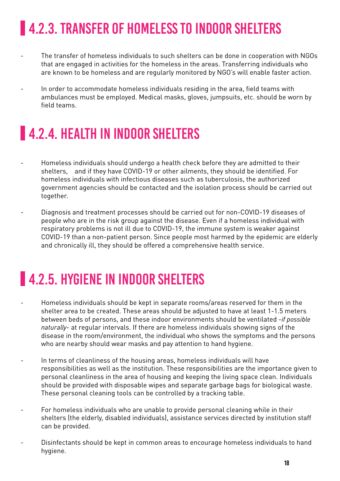## **4.2.3. TRANSFER OF HOMELESS TO INDOOR SHELTERS**

- The transfer of homeless individuals to such shelters can be done in cooperation with NGOs that are engaged in activities for the homeless in the areas. Transferring individuals who are known to be homeless and are regularly monitored by NGO's will enable faster action.
- In order to accommodate homeless individuals residing in the area, field teams with ambulances must be employed. Medical masks, gloves, jumpsuits, etc. should be worn by field teams.

### **4.2.4. HEALTH IN INDOOR SHELTERS**

- Homeless individuals should undergo a health check before they are admitted to their shelters, and if they have COVID-19 or other ailments, they should be identified. For homeless individuals with infectious diseases such as tuberculosis, the authorized government agencies should be contacted and the isolation process should be carried out together.
- Diagnosis and treatment processes should be carried out for non-COVID-19 diseases of people who are in the risk group against the disease. Even if a homeless individual with respiratory problems is not ill due to COVID-19, the immune system is weaker against COVID-19 than a non-patient person. Since people most harmed by the epidemic are elderly and chronically ill, they should be offered a comprehensive health service.

### **4.2.5. HYGIENE IN INDOOR SHELTERS**

- Homeless individuals should be kept in separate rooms/areas reserved for them in the shelter area to be created. These areas should be adjusted to have at least 1-1.5 meters between beds of persons, and these indoor environments should be ventilated -*if possible naturally*- at regular intervals. If there are homeless individuals showing signs of the disease in the room/environment, the individual who shows the symptoms and the persons who are nearby should wear masks and pay attention to hand hygiene.
- In terms of cleanliness of the housing areas, homeless individuals will have responsibilities as well as the institution. These responsibilities are the importance given to personal cleanliness in the area of housing and keeping the living space clean. Individuals should be provided with disposable wipes and separate garbage bags for biological waste. These personal cleaning tools can be controlled by a tracking table.
- For homeless individuals who are unable to provide personal cleaning while in their shelters (the elderly, disabled individuals), assistance services directed by institution staff can be provided.
- Disinfectants should be kept in common areas to encourage homeless individuals to hand hygiene.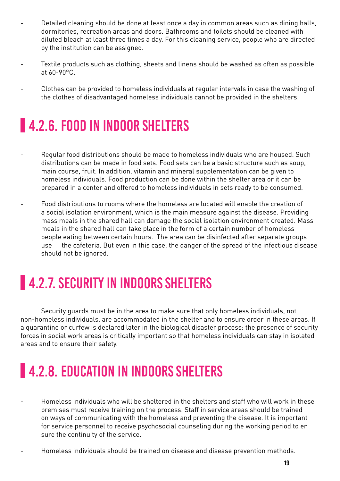- Detailed cleaning should be done at least once a day in common areas such as dining halls, dormitories, recreation areas and doors. Bathrooms and toilets should be cleaned with diluted bleach at least three times a day. For this cleaning service, people who are directed by the institution can be assigned.
- Textile products such as clothing, sheets and linens should be washed as often as possible at 60-90°C.
- Clothes can be provided to homeless individuals at regular intervals in case the washing of the clothes of disadvantaged homeless individuals cannot be provided in the shelters.

### **4.2.6. FOOD IN INDOOR SHELTERS**

- Regular food distributions should be made to homeless individuals who are housed. Such distributions can be made in food sets. Food sets can be a basic structure such as soup, main course, fruit. In addition, vitamin and mineral supplementation can be given to homeless individuals. Food production can be done within the shelter area or it can be prepared in a center and offered to homeless individuals in sets ready to be consumed.
- Food distributions to rooms where the homeless are located will enable the creation of a social isolation environment, which is the main measure against the disease. Providing mass meals in the shared hall can damage the social isolation environment created. Mass meals in the shared hall can take place in the form of a certain number of homeless people eating between certain hours. The area can be disinfected after separate groups use the cafeteria. But even in this case, the danger of the spread of the infectious disease should not be ignored.

### **4.2.7. SECURITY IN INDOORS SHELTERS**

Security guards must be in the area to make sure that only homeless individuals, not non-homeless individuals, are accommodated in the shelter and to ensure order in these areas. If a quarantine or curfew is declared later in the biological disaster process: the presence of security forces in social work areas is critically important so that homeless individuals can stay in isolated areas and to ensure their safety.

## **4.2.8. EDUCATION IN INDOORS SHELTERS**

- Homeless individuals who will be sheltered in the shelters and staff who will work in these premises must receive training on the process. Staff in service areas should be trained on ways of communicating with the homeless and preventing the disease. It is important for service personnel to receive psychosocial counseling during the working period to en sure the continuity of the service.
- Homeless individuals should be trained on disease and disease prevention methods.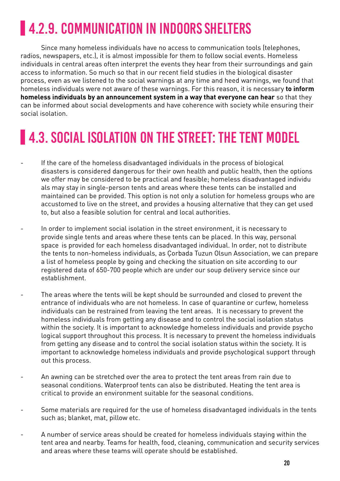## **4.2.9. COMMUNICATION IN INDOORS SHELTERS**

Since many homeless individuals have no access to communication tools (telephones, radios, newspapers, etc.), it is almost impossible for them to follow social events. Homeless individuals in central areas often interpret the events they hear from their surroundings and gain access to information. So much so that in our recent field studies in the biological disaster process, even as we listened to the social warnings at any time and heed warnings, we found that homeless individuals were not aware of these warnings. For this reason, it is necessary **to inform homeless individuals by an announcement system in a way that everyone can hear** so that they can be informed about social developments and have coherence with society while ensuring their social isolation.

### **4.3. SOCIAL ISOLATION ON THE STREET: THE TENT MODEL**

- If the care of the homeless disadvantaged individuals in the process of biological disasters is considered dangerous for their own health and public health, then the options we offer may be considered to be practical and feasible; homeless disadvantaged individu als may stay in single-person tents and areas where these tents can be installed and maintained can be provided. This option is not only a solution for homeless groups who are accustomed to live on the street, and provides a housing alternative that they can get used to, but also a feasible solution for central and local authorities.
- In order to implement social isolation in the street environment, it is necessary to provide single tents and areas where these tents can be placed. In this way, personal space is provided for each homeless disadvantaged individual. In order, not to distribute the tents to non-homeless individuals, as Çorbada Tuzun Olsun Association, we can prepare a list of homeless people by going and checking the situation on site according to our registered data of 650-700 people which are under our soup delivery service since our establishment.
- The areas where the tents will be kept should be surrounded and closed to prevent the entrance of individuals who are not homeless. In case of quarantine or curfew, homeless individuals can be restrained from leaving the tent areas. It is necessary to prevent the homeless individuals from getting any disease and to control the social isolation status within the society. It is important to acknowledge homeless individuals and provide psycho logical support throughout this process. It is necessary to prevent the homeless individuals from getting any disease and to control the social isolation status within the society. It is important to acknowledge homeless individuals and provide psychological support through out this process.
- An awning can be stretched over the area to protect the tent areas from rain due to seasonal conditions. Waterproof tents can also be distributed. Heating the tent area is critical to provide an environment suitable for the seasonal conditions.
- Some materials are required for the use of homeless disadvantaged individuals in the tents such as; blanket, mat, pillow etc.
- A number of service areas should be created for homeless individuals staying within the tent area and nearby. Teams for health, food, cleaning, communication and security services and areas where these teams will operate should be established.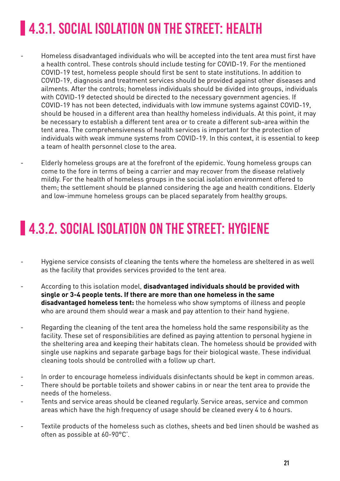## **4.3.1. SOCIAL ISOLATION ON THE STREET: HEALTH**

- Homeless disadvantaged individuals who will be accepted into the tent area must first have a health control. These controls should include testing for COVID-19. For the mentioned COVID-19 test, homeless people should first be sent to state institutions. In addition to COVID-19, diagnosis and treatment services should be provided against other diseases and ailments. After the controls; homeless individuals should be divided into groups, individuals with COVID-19 detected should be directed to the necessary government agencies. If COVID-19 has not been detected, individuals with low immune systems against COVID-19, should be housed in a different area than healthy homeless individuals. At this point, it may be necessary to establish a different tent area or to create a different sub-area within the tent area. The comprehensiveness of health services is important for the protection of individuals with weak immune systems from COVID-19. In this context, it is essential to keep a team of health personnel close to the area.
- Elderly homeless groups are at the forefront of the epidemic. Young homeless groups can come to the fore in terms of being a carrier and may recover from the disease relatively mildly. For the health of homeless groups in the social isolation environment offered to them; the settlement should be planned considering the age and health conditions. Elderly and low-immune homeless groups can be placed separately from healthy groups.

### **14.3.2. SOCIAL ISOLATION ON THE STREET: HYGIENE**

- Hygiene service consists of cleaning the tents where the homeless are sheltered in as well as the facility that provides services provided to the tent area.
- According to this isolation model, **disadvantaged individuals should be provided with single or 3-4 people tents. If there are more than one homeless in the same disadvantaged homeless tent:** the homeless who show symptoms of illness and people who are around them should wear a mask and pay attention to their hand hygiene.
- Regarding the cleaning of the tent area the homeless hold the same responsibility as the facility. These set of responsibilities are defined as paying attention to personal hygiene in the sheltering area and keeping their habitats clean. The homeless should be provided with single use napkins and separate garbage bags for their biological waste. These individual cleaning tools should be controlled with a follow up chart.
- In order to encourage homeless individuals disinfectants should be kept in common areas.
- There should be portable toilets and shower cabins in or near the tent area to provide the needs of the homeless.
- Tents and service areas should be cleaned regularly. Service areas, service and common areas which have the high frequency of usage should be cleaned every 4 to 6 hours.
- Textile products of the homeless such as clothes, sheets and bed linen should be washed as often as possible at 60-90°C'.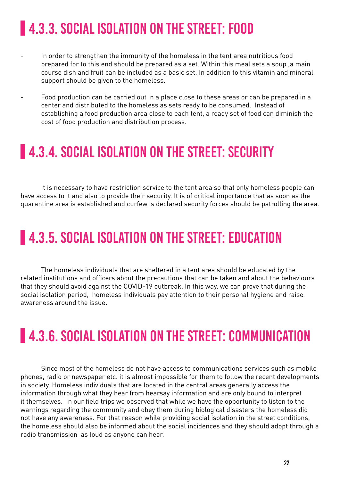## **4.3.3. SOCIAL ISOLATION ON THE STREET: FOOD**

- In order to strengthen the immunity of the homeless in the tent area nutritious food prepared for to this end should be prepared as a set. Within this meal sets a soup ,a main course dish and fruit can be included as a basic set. In addition to this vitamin and mineral support should be given to the homeless.
- Food production can be carried out in a place close to these areas or can be prepared in a center and distributed to the homeless as sets ready to be consumed. Instead of establishing a food production area close to each tent, a ready set of food can diminish the cost of food production and distribution process.

#### **4.3.4. SOCIAL ISOLATION ON THE STREET: SECURITY**

It is necessary to have restriction service to the tent area so that only homeless people can have access to it and also to provide their security. It is of critical importance that as soon as the quarantine area is established and curfew is declared security forces should be patrolling the area.

#### **4.3.5. SOCIAL ISOLATION ON THE STREET: EDUCATION**

The homeless individuals that are sheltered in a tent area should be educated by the related institutions and officers about the precautions that can be taken and about the behaviours that they should avoid against the COVID-19 outbreak. In this way, we can prove that during the social isolation period, homeless individuals pay attention to their personal hygiene and raise awareness around the issue.

### **4.3.6. SOCIAL ISOLATION ON THE STREET: COMMUNICATION**

Since most of the homeless do not have access to communications services such as mobile phones, radio or newspaper etc. it is almost impossible for them to follow the recent developments in society. Homeless individuals that are located in the central areas generally access the information through what they hear from hearsay information and are only bound to interpret it themselves. In our field trips we observed that while we have the opportunity to listen to the warnings regarding the community and obey them during biological disasters the homeless did not have any awareness. For that reason while providing social isolation in the street conditions, the homeless should also be informed about the social incidences and they should adopt through a radio transmission as loud as anyone can hear.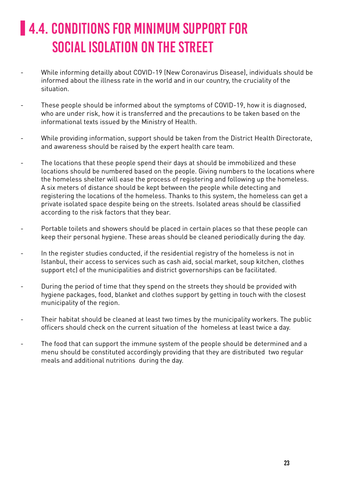## **4.4. CONDITIONS FOR MINIMUM SUPPORT FOR** SOCIAL ISOLATION ON THE STREET

- While informing detailly about COVID-19 (New Coronavirus Disease), individuals should be informed about the illness rate in the world and in our country, the cruciality of the situation.
- These people should be informed about the symptoms of COVID-19, how it is diagnosed, who are under risk, how it is transferred and the precautions to be taken based on the informational texts issued by the Ministry of Health.
- While providing information, support should be taken from the District Health Directorate, and awareness should be raised by the expert health care team.
- The locations that these people spend their days at should be immobilized and these locations should be numbered based on the people. Giving numbers to the locations where the homeless shelter will ease the process of registering and following up the homeless. A six meters of distance should be kept between the people while detecting and registering the locations of the homeless. Thanks to this system, the homeless can get a private isolated space despite being on the streets. Isolated areas should be classified according to the risk factors that they bear.
- Portable toilets and showers should be placed in certain places so that these people can keep their personal hygiene. These areas should be cleaned periodically during the day.
- In the register studies conducted, if the residential registry of the homeless is not in Istanbul, their access to services such as cash aid, social market, soup kitchen, clothes support etc) of the municipalities and district governorships can be facilitated.
- During the period of time that they spend on the streets they should be provided with hygiene packages, food, blanket and clothes support by getting in touch with the closest municipality of the region.
- Their habitat should be cleaned at least two times by the municipality workers. The public officers should check on the current situation of the homeless at least twice a day.
- The food that can support the immune system of the people should be determined and a menu should be constituted accordingly providing that they are distributed two regular meals and additional nutritions during the day.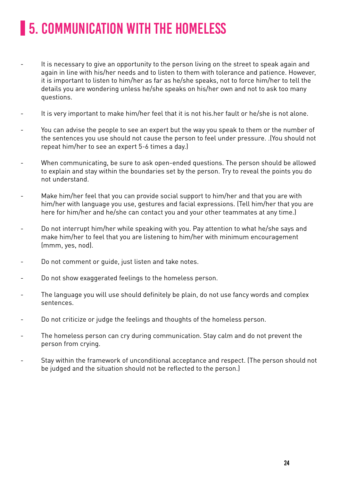## **5. COMMUNICATION WITH THE HOMELESS**

- It is necessary to give an opportunity to the person living on the street to speak again and again in line with his/her needs and to listen to them with tolerance and patience. However, it is important to listen to him/her as far as he/she speaks, not to force him/her to tell the details you are wondering unless he/she speaks on his/her own and not to ask too many questions.
- It is very important to make him/her feel that it is not his.her fault or he/she is not alone.
- You can advise the people to see an expert but the way you speak to them or the number of the sentences you use should not cause the person to feel under pressure. .(You should not repeat him/her to see an expert 5-6 times a day.)
- When communicating, be sure to ask open-ended questions. The person should be allowed to explain and stay within the boundaries set by the person. Try to reveal the points you do not understand.
- Make him/her feel that you can provide social support to him/her and that you are with him/her with language you use, gestures and facial expressions. (Tell him/her that you are here for him/her and he/she can contact you and your other teammates at any time.)
- Do not interrupt him/her while speaking with you. Pay attention to what he/she says and make him/her to feel that you are listening to him/her with minimum encouragement (mmm, yes, nod).
- Do not comment or guide, just listen and take notes.
- Do not show exaggerated feelings to the homeless person.
- The language you will use should definitely be plain, do not use fancy words and complex sentences.
- Do not criticize or judge the feelings and thoughts of the homeless person.
- The homeless person can cry during communication. Stay calm and do not prevent the person from crying.
- Stay within the framework of unconditional acceptance and respect. (The person should not be judged and the situation should not be reflected to the person.)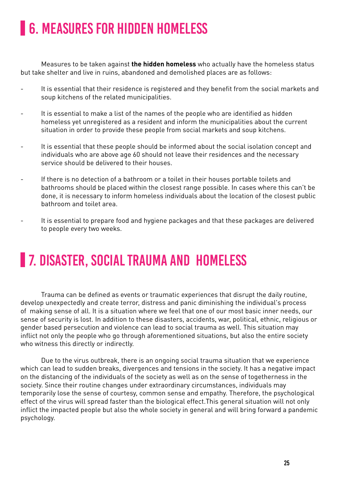### **6. MEASURES FOR HIDDEN HOMELESS**

Measures to be taken against **the hidden homeless** who actually have the homeless status but take shelter and live in ruins, abandoned and demolished places are as follows:

- It is essential that their residence is registered and they benefit from the social markets and soup kitchens of the related municipalities.
- It is essential to make a list of the names of the people who are identified as hidden homeless yet unregistered as a resident and inform the municipalities about the current situation in order to provide these people from social markets and soup kitchens.
- It is essential that these people should be informed about the social isolation concept and individuals who are above age 60 should not leave their residences and the necessary service should be delivered to their houses.
- If there is no detection of a bathroom or a toilet in their houses portable toilets and bathrooms should be placed within the closest range possible. In cases where this can't be done, it is necessary to inform homeless individuals about the location of the closest public bathroom and toilet area.
- It is essential to prepare food and hygiene packages and that these packages are delivered to people every two weeks.

### **7. DISASTER, SOCIAL TRAUMA AND HOMELESS**

Trauma can be defined as events or traumatic experiences that disrupt the daily routine, develop unexpectedly and create terror, distress and panic diminishing the individual's process of making sense of all. It is a situation where we feel that one of our most basic inner needs, our sense of security is lost. In addition to these disasters, accidents, war, political, ethnic, religious or gender based persecution and violence can lead to social trauma as well. This situation may inflict not only the people who go through aforementioned situations, but also the entire society who witness this directly or indirectly.

Due to the virus outbreak, there is an ongoing social trauma situation that we experience which can lead to sudden breaks, divergences and tensions in the society. It has a negative impact on the distancing of the individuals of the society as well as on the sense of togetherness in the society. Since their routine changes under extraordinary circumstances, individuals may temporarily lose the sense of courtesy, common sense and empathy. Therefore, the psychological effect of the virus will spread faster than the biological effect.This general situation will not only inflict the impacted people but also the whole society in general and will bring forward a pandemic psychology.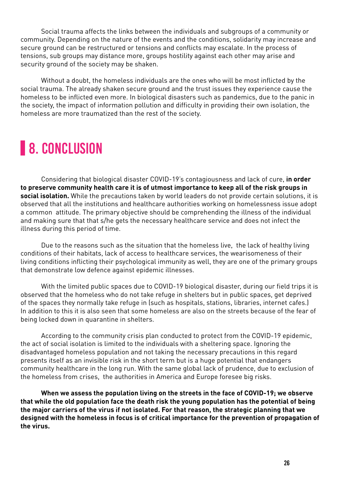Social trauma affects the links between the individuals and subgroups of a community or community. Depending on the nature of the events and the conditions, solidarity may increase and secure ground can be restructured or tensions and conflicts may escalate. In the process of tensions, sub groups may distance more, groups hostility against each other may arise and security ground of the society may be shaken.

Without a doubt, the homeless individuals are the ones who will be most inflicted by the social trauma. The already shaken secure ground and the trust issues they experience cause the homeless to be inflicted even more. In biological disasters such as pandemics, due to the panic in the society, the impact of information pollution and difficulty in providing their own isolation, the homeless are more traumatized than the rest of the society.

### **8. CONCLUSION**

Considering that biological disaster COVID-19's contagiousness and lack of cure, **in order to preserve community health care it is of utmost importance to keep all of the risk groups in social isolation.** While the precautions taken by world leaders do not provide certain solutions, it is observed that all the institutions and healthcare authorities working on homelessness issue adopt a common attitude. The primary objective should be comprehending the illness of the individual and making sure that that s/he gets the necessary healthcare service and does not infect the illness during this period of time.

Due to the reasons such as the situation that the homeless live, the lack of healthy living conditions of their habitats, lack of access to healthcare services, the wearisomeness of their living conditions inflicting their psychological immunity as well, they are one of the primary groups that demonstrate low defence against epidemic illnesses.

With the limited public spaces due to COVID-19 biological disaster, during our field trips it is observed that the homeless who do not take refuge in shelters but in public spaces, get deprived of the spaces they normally take refuge in (such as hospitals, stations, libraries, internet cafes.) In addition to this it is also seen that some homeless are also on the streets because of the fear of being locked down in quarantine in shelters.

According to the community crisis plan conducted to protect from the COVID-19 epidemic, the act of social isolation is limited to the individuals with a sheltering space. Ignoring the disadvantaged homeless population and not taking the necessary precautions in this regard presents itself as an invisible risk in the short term but is a huge potential that endangers community healthcare in the long run. With the same global lack of prudence, due to exclusion of the homeless from crises, the authorities in America and Europe foresee big risks.

**When we assess the population living on the streets in the face of COVID-19; we observe that while the old population face the death risk the young population has the potential of being the major carriers of the virus if not isolated. For that reason, the strategic planning that we designed with the homeless in focus is of critical importance for the prevention of propagation of the virus.**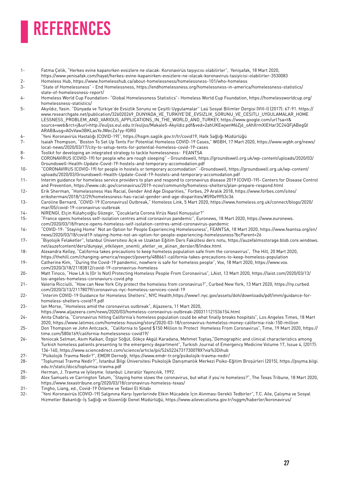# REFERENCES

- 1- Fatma Çelik, "Herkes evine kapanırken evsizlere ne olacak: Koronavirüs taşıyıcısı olabilirler", Yenişafak, 18 Mart 2020, https://www.yenisafak.com/hayat/herkes-evine-kapanirken-evsizlere-ne-olacak-koronavirus-tasiyicisi-olabilirler-3530083
- 2- Homeless Hub, https://www.homelesshub.ca/about-homelessness/homelessness-101/who-homeless
- 3- "State of Homelessness" End Homelessness, https://endhomelessness.org/homelessness-in-america/homelessness-statistics/ state-of-homelessness-report/
- 4- Homeless World Cup Foundation- "Global Homelessness Statistics"- Homeless World Cup Foundation, https://homelessworldcup.org/ homelessness-statistics/
- 5- Akyıldız, Yasin. "Dünyada ve Türkiye'de Evsizlik Sorunu ve Çeşitli Uygulamalar" Laü Sosyal Bilimler Dergisi (VIII-I) (2017): 67-91. https:// www.researchgate.net/publication/326020269\_DUNYADA\_VE\_TURKIYE'DE\_EVSIZLIK\_SORUNU\_VE\_CESITLI\_UYGULAMALAR\_HOME LESSNESS\_PROBLEM\_AND\_VARIOUS\_APPLICATIONS\_IN\_THE\_WORLD\_AND\_TURKEY, https://www.google.com/url?sa=t& source=web&rct=j&url=http://euljss.eul.edu.tr/euljss/Makale5-Akyildiz.pdf&ved=2ahUKEwjwnM6Zj6\_oAhXrmXIEHar3C24QFjABegQI ARAB&usg=AOvVaw3BKLasYeJWecZa1yy-fGRG
- 6- "Yeni Koronavirüs Hastalığı (COVID-19)", https://hsgm.saglik.gov.tr/tr/covid19, Halk Sağlığı Müdürlüğü
- 7- Isaiah Thompson, "Boston To Set Up Tents For Potential Homeless COVID-19 Cases," WGBH, 17 Mart 2020, https://www.wgbh.org/news/ local-news/2020/03/17/city-to-setup-tents-for-potential-homeless-covid-19-cases
- 8- Toolkit for developing an integrated strategy to tackle homelessness- FEANTSA
- 9- CORONAVIRUS (COVID-19) for people who are rough sleeping" Groundswell, https://groundswell.org.uk/wp-content/uploads/2020/03/ Groundswell-Health-Update-Covid-19-hostels-and-temporary-accomodation.pdf
- 10- "CORONAVIRUS (COVID-19) for people in hostels or temporary accomodation" -Groundswell, https://groundswell.org.uk/wp-content/ uploads/2020/03/Groundswell-Health-Update-Covid-19-hostels-and-temporary-accomodation.pdf
- 11- Interim guidance for homeless service providers to plan and respond to coronavirus disease 2019 (COVID-19)- Centers for Disease Control and Prevention, https://www.cdc.gov/coronavirus/2019-ncov/community/homeless-shelters/plan-prepare-respond.html
- 12- Erik Sherman, "Homelessness Has Racial, Gender And Age Disparities," Forbes, 29 Aralık 2018, https://www.forbes.com/sites/ eriksherman/2018/12/29/homelessness-has-racial-gender-and-age-disparities/#590e9ff53c36
- 13- Caroline Bernard, "COVID-19 (Coronavirus) Outbreak," Homeless Link, 5 Mart 2020, https://www.homeless.org.uk/connect/blogs/2020/ mar/05/covid-19-coronavirus-outbreak
- 14- NİRENGİ, Elçin Külahçıoğlu Gözegir, "Çocuklarla Corona Virüs Nasıl Konuşulur?"
- 15- "France opens homeless self-isolation centres amid coronavirus pandemic", Euronews, 18 Mart 2020, https://www.euronews. com/2020/03/18/france-opens-homeless-self-isolation-centres-amid-coronavirus-pandemic
- 16- "COVID-19: "Staying Home" Not an Option for People Experiencing Homelessness", FEANTSA, 18 Mart 2020, https://www.feantsa.org/en/ news/2020/03/18/covid19-staying-home-not-an-option-for-people-experiencing-homelessness?bcParent=26
- 17- "Biyolojik Felaketler", İstanbul Üniversitesi Açık ve Uzaktan Eğitim Ders Fakültesi ders notu, https://auzefalmsstorage.blob.core.windows. net/auzefcontent/ders/dunyayi\_etkileyen\_onemli\_afetler\_ve\_alinan\_dersler/8/index.html
- 18- Alexandra Kelley, "California takes precautions to keep homeless population safe from the coronavirus", The Hill, 20 Mart 2020, https://thehill.com/changing-america/respect/poverty/488661-california-takes-precautions-to-keep-homeless-population
- 19- Catherine Kim, "During the Covid-19 pandemic, nowhere is safe for homeless people", Vox, 18 Mart 2020, https://www.vox. com/2020/3/18/21183812/covid-19-coronavirus-homeless
- 20- Matt Tinoco, "How LA Is (Or Is Not) Protecting Homeless People From Coronavirus", LAist, 13 Mart 2020, https://laist.com/2020/03/13/ los-angeles-homeless-coronaviurs-covid.php
- 21- Valeria Ricciulli, "How can New York City protect the homeless from coronavirus?", Curbed New York, 13 Mart 2020, https://ny.curbed. com/2020/3/13/21178079/coronavirus-nyc-homeless-services-covid-19
- 22- "Interim COVID-19 Guidance for Homeless Shelters", NYC Health,https://www1.nyc.gov/assets/doh/downloads/pdf/imm/guidance-forhomeless-shelters-covid19.pdf
- 23- Ian Morse, "Homeless amid the coronavirus outbreak", Aljazeera, 11 Mart 2020,
- https://www.aljazeera.com/news/2020/03/homeless-coronavirus-outbreak-200311121536154.html
- 24- Anita Chabria, "Coronavirus hitting California's homeless population could be what finally breaks hospitals", Los Angeles Times, 18 Mart 2020, https://www.latimes.com/homeless-housing/story/2020-03-18/coronavirus-homelelss-money-california-risk-150-million
- 25- Don Thompson ve John Antczack, "California to Spend \$150 Million to Protect Homeless From Coronavirus", Time, 19 Mart 2020, https:// time.com/5806169/california-homelessness-covid19/
- 26- Yeniocak Selman, Asım Kalkan, Özgür Söğüt, Gökçe Akgül Karadana, Mehmet Toptaş,"Demographic and clinical characteristics among Turkish homeless patients presenting to the emergency department", Turkish Journal of Emergency Medicine Volume 17, Issue 4, (2017): 136-140, https://www.sciencedirect.com/science/article/pii/S245224731730078X?via%3Dihub
- 27- "Psikolojik Travma Nedir?", EMDR Derneği, https://www.emdr-tr.org/psikolojik-travma-nedir/
- 28- "Toplumsal Travma Nedir?", İstanbul Bilgi Üniversitesi Psikolojik Danışmanlık Merkezi Psiko-Eğitim Broşürleri (2015), https://psyma.bilgi. edu.tr/static/docs/toplumsa-travma.pdf
- 29- Herman, J. Travma ve İyileşme. İstanbul: Literatür Yayıncılık, 1992.
- 30- Alex Samuels ve Carrington Tatum, "Staying home slows the coronavirus, but what if you're homeless?", The Texas Tribune, 18 Mart 2020, https://www.texastribune.org/2020/03/18/coronavirus-homeless-texas/
- 31- Tingho, Liang, ed., Covid-19 Önleme ve Tedavi El Kitabı
- 32- "Yeni Koronavirüs (COVID-19) Salgınına Karşı İşyerlerinde Etkin Mücadele İçin Alınması Gerekli Tedbirler", T.C. Aile, Çalışma ve Sosyal Hizmetler Bakanlığı-İş Sağlığı ve Güvenliği Genel Müdürlüğü, https://www.ailevecalisma.gov.tr/isggm/haberler/koronavirus/